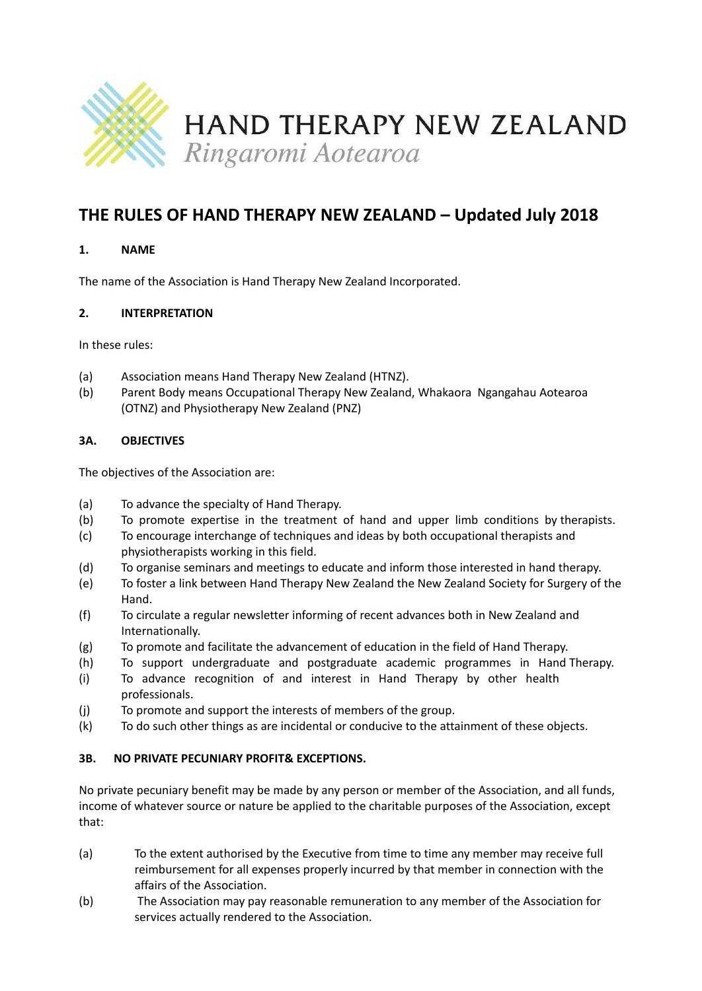

# **THE RULES OF HAND THERAPY NEW ZEALAND – Updated July 2018**

# **1. NAME**

The name of the Association is Hand Therapy New Zealand Incorporated.

# **2. INTERPRETATION**

In these rules:

- (a) Association means Hand Therapy New Zealand (HTNZ).
- (b) Parent Body means Occupational Therapy New Zealand, Whakaora Ngangahau Aotearoa (OTNZ) and Physiotherapy New Zealand (PNZ)

# **3A. OBJECTIVES**

The objectives of the Association are:

- (a) To advance the specialty of Hand Therapy.
- (b) To promote expertise in the treatment of hand and upper limb conditions by therapists.
- (c) To encourage interchange of techniques and ideas by both occupational therapists and physiotherapists working in this field.
- (d) To organise seminars and meetings to educate and inform those interested in hand therapy.
- (e) To foster a link between Hand Therapy New Zealand the New Zealand Society for Surgery of the Hand.
- (f) To circulate a regular newsletter informing of recent advances both in New Zealand and Internationally.
- (g) To promote and facilitate the advancement of education in the field of Hand Therapy.
- (h) To support undergraduate and postgraduate academic programmes in Hand Therapy.
- (i) To advance recognition of and interest in Hand Therapy by other health professionals.
- (j) To promote and support the interests of members of the group.
- (k) To do such other things as are incidental or conducive to the attainment of these objects.

# **3B. NO PRIVATE PECUNIARY PROFIT& EXCEPTIONS.**

No private pecuniary benefit may be made by any person or member of the Association, and all funds, income of whatever source or nature be applied to the charitable purposes of the Association, except that:

- (a) To the extent authorised by the Executive from time to time any member may receive full reimbursement for all expenses properly incurred by that member in connection with the affairs of the Association.
- (b) The Association may pay reasonable remuneration to any member of the Association for services actually rendered to the Association.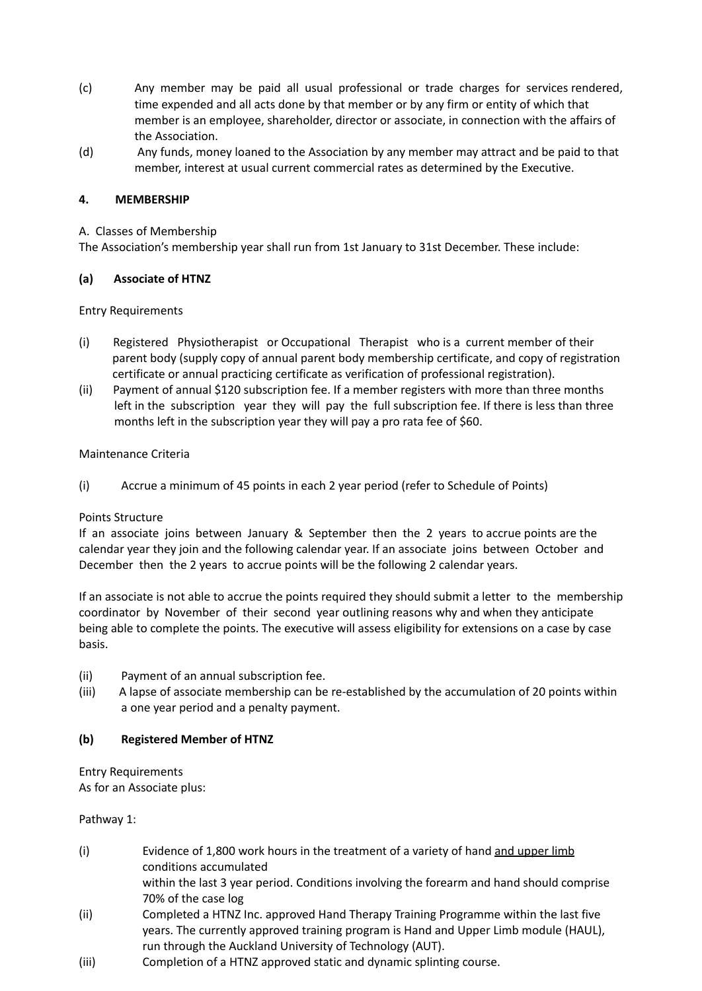- (c) Any member may be paid all usual professional or trade charges for services rendered, time expended and all acts done by that member or by any firm or entity of which that member is an employee, shareholder, director or associate, in connection with the affairs of the Association.
- (d) Any funds, money loaned to the Association by any member may attract and be paid to that member, interest at usual current commercial rates as determined by the Executive.

## **4. MEMBERSHIP**

### A. Classes of Membership

The Association's membership year shall run from 1st January to 31st December. These include:

### **(a) Associate of HTNZ**

Entry Requirements

- (i) Registered Physiotherapist or Occupational Therapist who is a current member of their parent body (supply copy of annual parent body membership certificate, and copy of registration certificate or annual practicing certificate as verification of professional registration).
- (ii) Payment of annual \$120 subscription fee. If a member registers with more than three months left in the subscription year they will pay the full subscription fee. If there is less than three months left in the subscription year they will pay a pro rata fee of \$60.

### Maintenance Criteria

(i) Accrue a minimum of 45 points in each 2 year period (refer to Schedule of Points)

### Points Structure

If an associate joins between January & September then the 2 years to accrue points are the calendar year they join and the following calendar year. If an associate joins between October and December then the 2 years to accrue points will be the following 2 calendar years.

If an associate is not able to accrue the points required they should submit a letter to the membership coordinator by November of their second year outlining reasons why and when they anticipate being able to complete the points. The executive will assess eligibility for extensions on a case by case basis.

- (ii) Payment of an annual subscription fee.
- (iii) A lapse of associate membership can be re-established by the accumulation of 20 points within a one year period and a penalty payment.

# **(b) Registered Member of HTNZ**

Entry Requirements As for an Associate plus:

Pathway 1:

(i) Evidence of 1,800 work hours in the treatment of a variety of hand and upper limb conditions accumulated within the last 3 year period. Conditions involving the forearm and hand should comprise 70% of the case log (ii) Completed a HTNZ Inc. approved Hand Therapy Training Programme within the last five years. The currently approved training program is Hand and Upper Limb module (HAUL),

run through the Auckland University of Technology (AUT).

(iii) Completion of a HTNZ approved static and dynamic splinting course.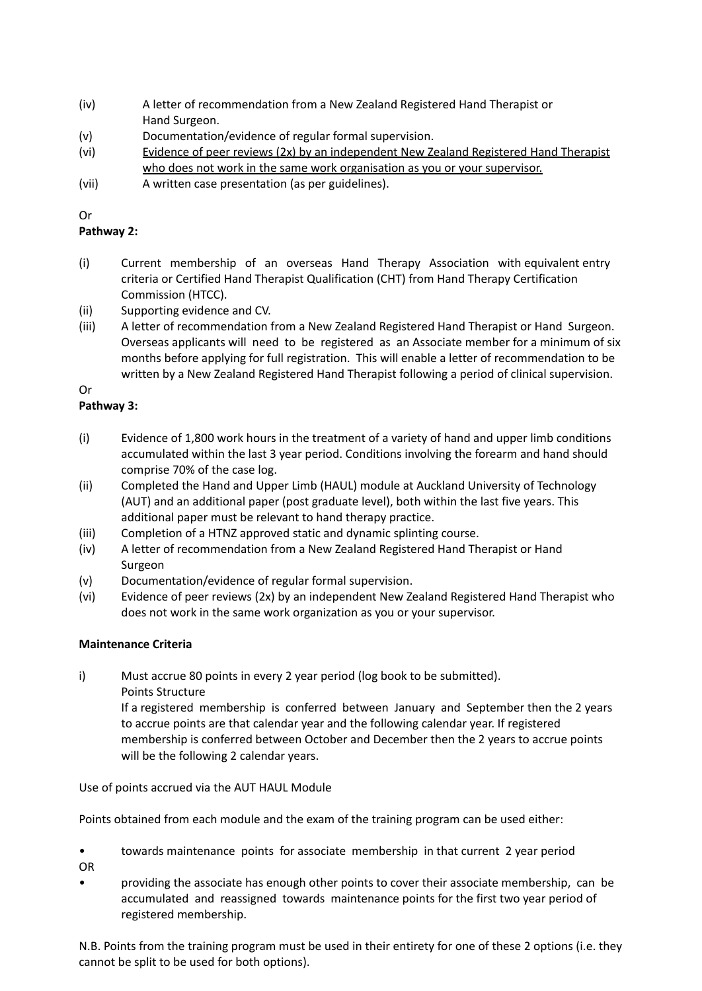- (iv) A letter of recommendation from a New Zealand Registered Hand Therapist or Hand Surgeon.
- (v) Documentation/evidence of regular formal supervision.
- (vi) Evidence of peer reviews (2x) by an independent New Zealand Registered Hand Therapist who does not work in the same work organisation as you or your supervisor.
- (vii) A written case presentation (as per guidelines).

Or

# **Pathway 2:**

- (i) Current membership of an overseas Hand Therapy Association with equivalent entry criteria or Certified Hand Therapist Qualification (CHT) from Hand Therapy Certification Commission (HTCC).
- (ii) Supporting evidence and CV.
- (iii) A letter of recommendation from a New Zealand Registered Hand Therapist or Hand Surgeon. Overseas applicants will need to be registered as an Associate member for a minimum of six months before applying for full registration. This will enable a letter of recommendation to be written by a New Zealand Registered Hand Therapist following a period of clinical supervision.

# Or

# **Pathway 3:**

- (i) Evidence of 1,800 work hours in the treatment of a variety of hand and upper limb conditions accumulated within the last 3 year period. Conditions involving the forearm and hand should comprise 70% of the case log.
- (ii) Completed the Hand and Upper Limb (HAUL) module at Auckland University of Technology (AUT) and an additional paper (post graduate level), both within the last five years. This additional paper must be relevant to hand therapy practice.
- (iii) Completion of a HTNZ approved static and dynamic splinting course.
- (iv) A letter of recommendation from a New Zealand Registered Hand Therapist or Hand Surgeon
- (v) Documentation/evidence of regular formal supervision.
- (vi) Evidence of peer reviews (2x) by an independent New Zealand Registered Hand Therapist who does not work in the same work organization as you or your supervisor.

# **Maintenance Criteria**

i) Must accrue 80 points in every 2 year period (log book to be submitted). Points Structure

> If a registered membership is conferred between January and September then the 2 years to accrue points are that calendar year and the following calendar year. If registered membership is conferred between October and December then the 2 years to accrue points will be the following 2 calendar years.

Use of points accrued via the AUT HAUL Module

Points obtained from each module and the exam of the training program can be used either:

- towards maintenance points for associate membership in that current 2 year period OR
- providing the associate has enough other points to cover their associate membership, can be accumulated and reassigned towards maintenance points for the first two year period of registered membership.

N.B. Points from the training program must be used in their entirety for one of these 2 options (i.e. they cannot be split to be used for both options).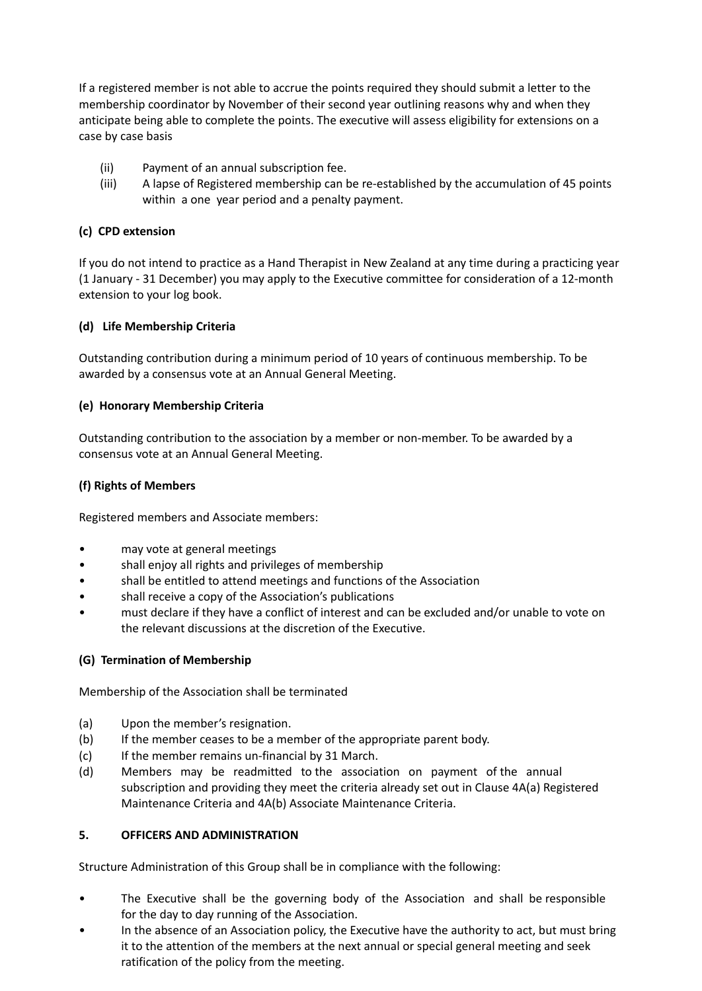If a registered member is not able to accrue the points required they should submit a letter to the membership coordinator by November of their second year outlining reasons why and when they anticipate being able to complete the points. The executive will assess eligibility for extensions on a case by case basis

- (ii) Payment of an annual subscription fee.
- (iii) A lapse of Registered membership can be re-established by the accumulation of 45 points within a one year period and a penalty payment.

# **(c) CPD extension**

If you do not intend to practice as a Hand Therapist in New Zealand at any time during a practicing year (1 January - 31 December) you may apply to the Executive committee for consideration of a 12-month extension to your log book.

# **(d) Life Membership Criteria**

Outstanding contribution during a minimum period of 10 years of continuous membership. To be awarded by a consensus vote at an Annual General Meeting.

# **(e) Honorary Membership Criteria**

Outstanding contribution to the association by a member or non-member. To be awarded by a consensus vote at an Annual General Meeting.

# **(f) Rights of Members**

Registered members and Associate members:

- may vote at general meetings
- shall enjoy all rights and privileges of membership
- shall be entitled to attend meetings and functions of the Association
- shall receive a copy of the Association's publications
- must declare if they have a conflict of interest and can be excluded and/or unable to vote on the relevant discussions at the discretion of the Executive.

# **(G) Termination of Membership**

Membership of the Association shall be terminated

- (a) Upon the member's resignation.
- (b) If the member ceases to be a member of the appropriate parent body.
- (c) If the member remains un-financial by 31 March.
- (d) Members may be readmitted to the association on payment of the annual subscription and providing they meet the criteria already set out in Clause 4A(a) Registered Maintenance Criteria and 4A(b) Associate Maintenance Criteria.

# **5. OFFICERS AND ADMINISTRATION**

Structure Administration of this Group shall be in compliance with the following:

- The Executive shall be the governing body of the Association and shall be responsible for the day to day running of the Association.
- In the absence of an Association policy, the Executive have the authority to act, but must bring it to the attention of the members at the next annual or special general meeting and seek ratification of the policy from the meeting.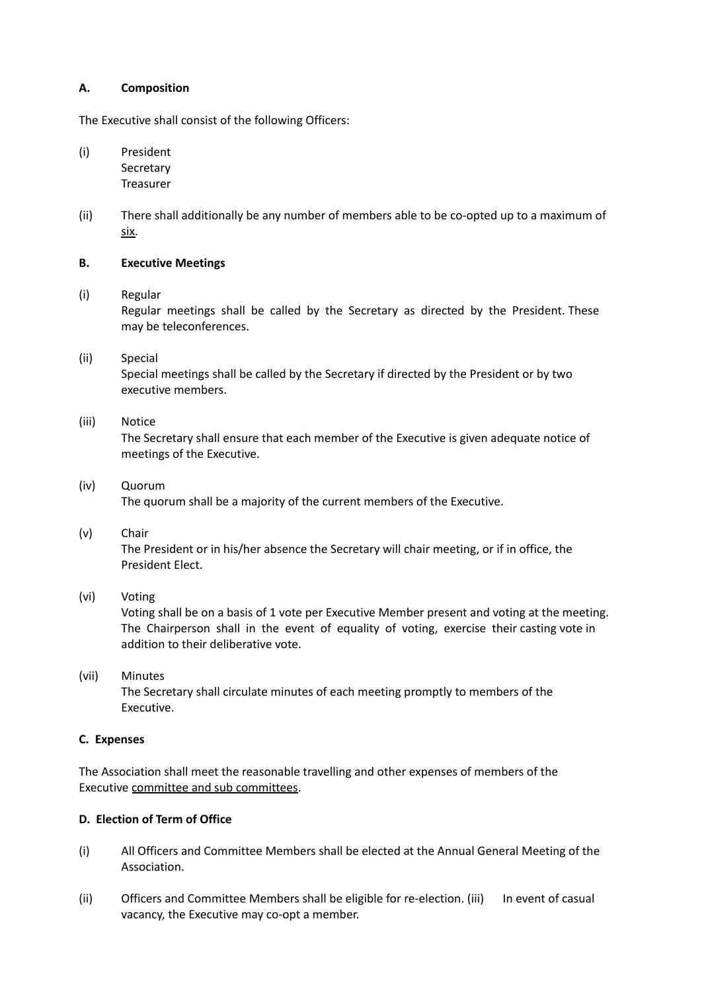### **A. Composition**

The Executive shall consist of the following Officers:

(i) President Secretary Treasurer

(ii) There shall additionally be any number of members able to be co-opted up to a maximum of six.

### **B. Executive Meetings**

# (i) Regular

Regular meetings shall be called by the Secretary as directed by the President. These may be teleconferences.

# (ii) Special

Special meetings shall be called by the Secretary if directed by the President or by two executive members.

# (iii) Notice

The Secretary shall ensure that each member of the Executive is given adequate notice of meetings of the Executive.

## (iv) Quorum The quorum shall be a majority of the current members of the Executive.

# (v) Chair

The President or in his/her absence the Secretary will chair meeting, or if in office, the President Elect.

# (vi) Voting

Voting shall be on a basis of 1 vote per Executive Member present and voting at the meeting. The Chairperson shall in the event of equality of voting, exercise their casting vote in addition to their deliberative vote.

# (vii) Minutes

The Secretary shall circulate minutes of each meeting promptly to members of the Executive.

### **C. Expenses**

The Association shall meet the reasonable travelling and other expenses of members of the Executive committee and sub committees.

# **D. Election of Term of Office**

- (i) All Officers and Committee Members shall be elected at the Annual General Meeting of the Association.
- (ii) Officers and Committee Members shall be eligible for re-election. (iii) In event of casual vacancy, the Executive may co-opt a member.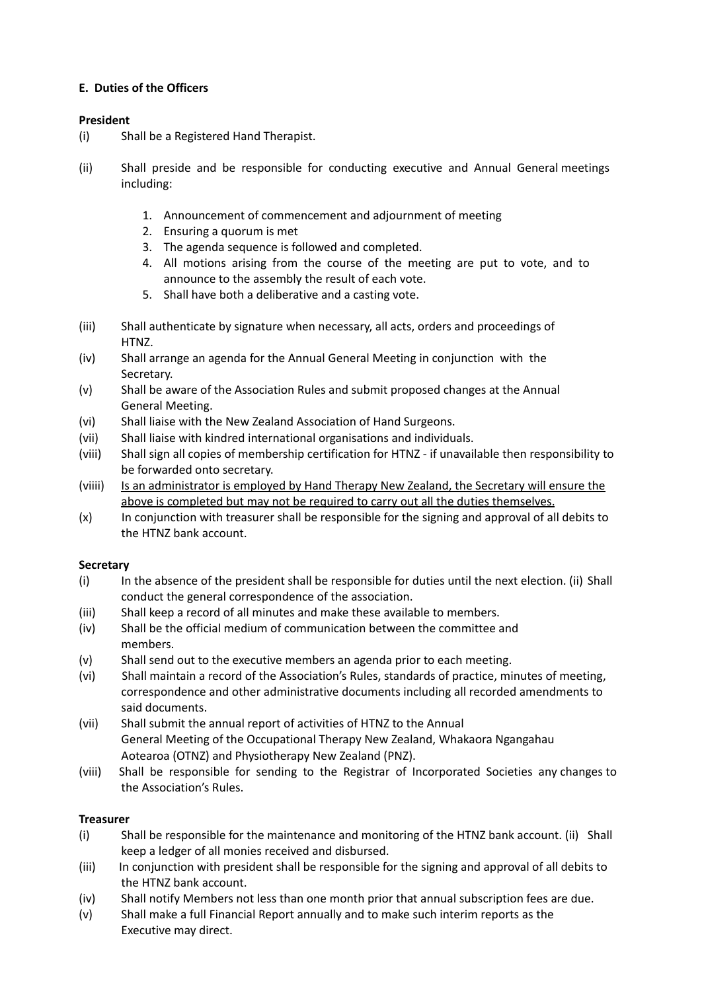# **E. Duties of the Officers**

# **President**

- (i) Shall be a Registered Hand Therapist.
- (ii) Shall preside and be responsible for conducting executive and Annual General meetings including:
	- 1. Announcement of commencement and adjournment of meeting
	- 2. Ensuring a quorum is met
	- 3. The agenda sequence is followed and completed.
	- 4. All motions arising from the course of the meeting are put to vote, and to announce to the assembly the result of each vote.
	- 5. Shall have both a deliberative and a casting vote.
- (iii) Shall authenticate by signature when necessary, all acts, orders and proceedings of HTNZ.
- (iv) Shall arrange an agenda for the Annual General Meeting in conjunction with the Secretary.
- (v) Shall be aware of the Association Rules and submit proposed changes at the Annual General Meeting.
- (vi) Shall liaise with the New Zealand Association of Hand Surgeons.
- (vii) Shall liaise with kindred international organisations and individuals.
- (viii) Shall sign all copies of membership certification for HTNZ if unavailable then responsibility to be forwarded onto secretary.
- (viiii) Is an administrator is employed by Hand Therapy New Zealand, the Secretary will ensure the above is completed but may not be required to carry out all the duties themselves.
- (x) In conjunction with treasurer shall be responsible for the signing and approval of all debits to the HTNZ bank account.

# **Secretary**

- (i) In the absence of the president shall be responsible for duties until the next election. (ii) Shall conduct the general correspondence of the association.
- (iii) Shall keep a record of all minutes and make these available to members.
- (iv) Shall be the official medium of communication between the committee and members.
- (v) Shall send out to the executive members an agenda prior to each meeting.
- (vi) Shall maintain a record of the Association's Rules, standards of practice, minutes of meeting, correspondence and other administrative documents including all recorded amendments to said documents.
- (vii) Shall submit the annual report of activities of HTNZ to the Annual General Meeting of the Occupational Therapy New Zealand, Whakaora Ngangahau Aotearoa (OTNZ) and Physiotherapy New Zealand (PNZ).
- (viii) Shall be responsible for sending to the Registrar of Incorporated Societies any changes to the Association's Rules.

# **Treasurer**

- (i) Shall be responsible for the maintenance and monitoring of the HTNZ bank account. (ii) Shall keep a ledger of all monies received and disbursed.
- (iii) In conjunction with president shall be responsible for the signing and approval of all debits to the HTNZ bank account.
- (iv) Shall notify Members not less than one month prior that annual subscription fees are due.
- (v) Shall make a full Financial Report annually and to make such interim reports as the Executive may direct.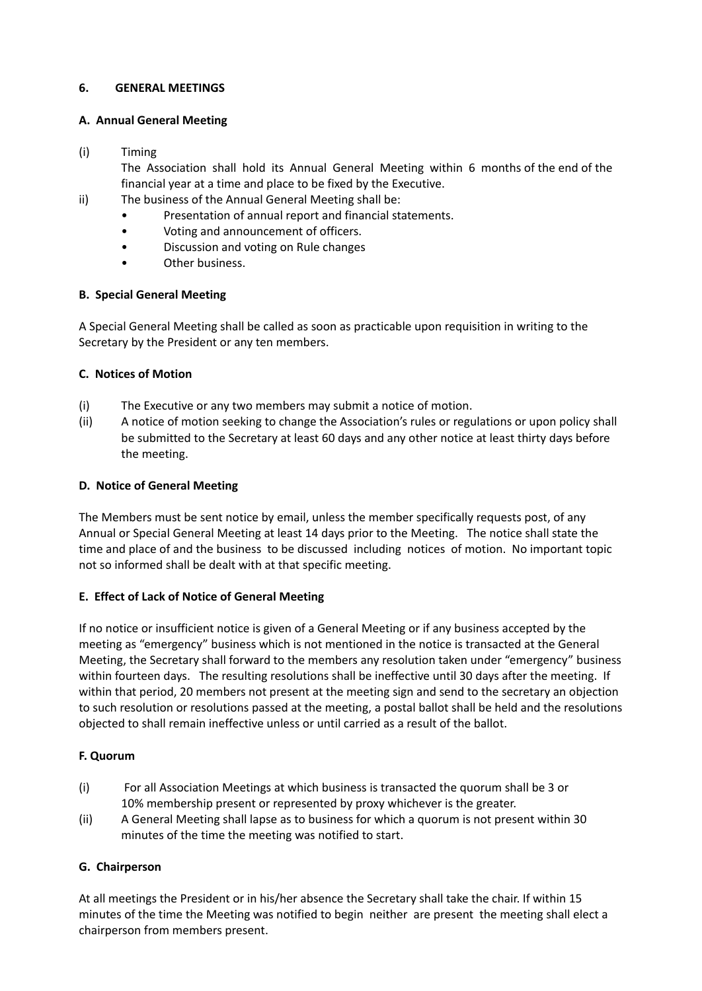## **6. GENERAL MEETINGS**

## **A. Annual General Meeting**

## (i) Timing

The Association shall hold its Annual General Meeting within 6 months of the end of the financial year at a time and place to be fixed by the Executive.

- ii) The business of the Annual General Meeting shall be:
	- Presentation of annual report and financial statements.
	- Voting and announcement of officers.
	- Discussion and voting on Rule changes
	- Other business.

# **B. Special General Meeting**

A Special General Meeting shall be called as soon as practicable upon requisition in writing to the Secretary by the President or any ten members.

## **C. Notices of Motion**

- (i) The Executive or any two members may submit a notice of motion.
- (ii) A notice of motion seeking to change the Association's rules or regulations or upon policy shall be submitted to the Secretary at least 60 days and any other notice at least thirty days before the meeting.

## **D. Notice of General Meeting**

The Members must be sent notice by email, unless the member specifically requests post, of any Annual or Special General Meeting at least 14 days prior to the Meeting. The notice shall state the time and place of and the business to be discussed including notices of motion. No important topic not so informed shall be dealt with at that specific meeting.

# **E. Effect of Lack of Notice of General Meeting**

If no notice or insufficient notice is given of a General Meeting or if any business accepted by the meeting as "emergency" business which is not mentioned in the notice is transacted at the General Meeting, the Secretary shall forward to the members any resolution taken under "emergency" business within fourteen days. The resulting resolutions shall be ineffective until 30 days after the meeting. If within that period, 20 members not present at the meeting sign and send to the secretary an objection to such resolution or resolutions passed at the meeting, a postal ballot shall be held and the resolutions objected to shall remain ineffective unless or until carried as a result of the ballot.

# **F. Quorum**

- (i) For all Association Meetings at which business is transacted the quorum shall be 3 or 10% membership present or represented by proxy whichever is the greater.
- (ii) A General Meeting shall lapse as to business for which a quorum is not present within 30 minutes of the time the meeting was notified to start.

# **G. Chairperson**

At all meetings the President or in his/her absence the Secretary shall take the chair. If within 15 minutes of the time the Meeting was notified to begin neither are present the meeting shall elect a chairperson from members present.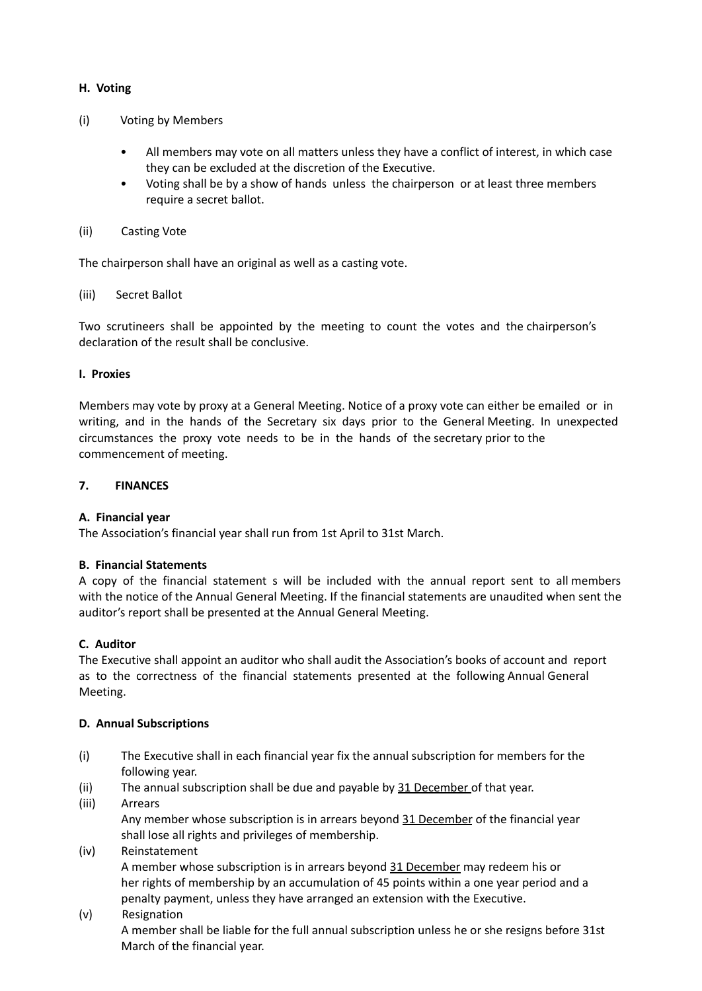# **H. Voting**

- (i) Voting by Members
	- All members may vote on all matters unless they have a conflict of interest, in which case they can be excluded at the discretion of the Executive.
	- Voting shall be by a show of hands unless the chairperson or at least three members require a secret ballot.

### (ii) Casting Vote

The chairperson shall have an original as well as a casting vote.

## (iii) Secret Ballot

Two scrutineers shall be appointed by the meeting to count the votes and the chairperson's declaration of the result shall be conclusive.

### **I. Proxies**

Members may vote by proxy at a General Meeting. Notice of a proxy vote can either be emailed or in writing, and in the hands of the Secretary six days prior to the General Meeting. In unexpected circumstances the proxy vote needs to be in the hands of the secretary prior to the commencement of meeting.

## **7. FINANCES**

### **A. Financial year**

The Association's financial year shall run from 1st April to 31st March.

### **B. Financial Statements**

A copy of the financial statement s will be included with the annual report sent to all members with the notice of the Annual General Meeting. If the financial statements are unaudited when sent the auditor's report shall be presented at the Annual General Meeting.

### **C. Auditor**

The Executive shall appoint an auditor who shall audit the Association's books of account and report as to the correctness of the financial statements presented at the following Annual General Meeting.

### **D. Annual Subscriptions**

- (i) The Executive shall in each financial year fix the annual subscription for members for the following year.
- (ii) The annual subscription shall be due and payable by  $31$  December of that year.
- (iii) Arrears Any member whose subscription is in arrears beyond 31 December of the financial year shall lose all rights and privileges of membership.

### (iv) Reinstatement

A member whose subscription is in arrears beyond 31 December may redeem his or her rights of membership by an accumulation of 45 points within a one year period and a penalty payment, unless they have arranged an extension with the Executive.

(v) Resignation

A member shall be liable for the full annual subscription unless he or she resigns before 31st March of the financial year.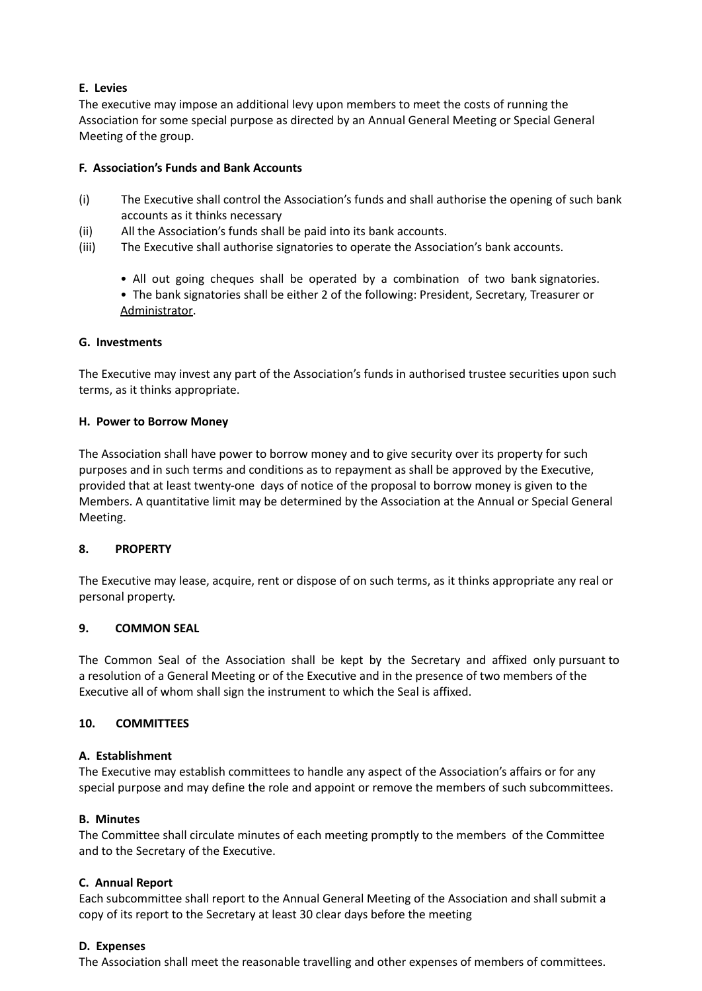## **E. Levies**

The executive may impose an additional levy upon members to meet the costs of running the Association for some special purpose as directed by an Annual General Meeting or Special General Meeting of the group.

## **F. Association's Funds and Bank Accounts**

- (i) The Executive shall control the Association's funds and shall authorise the opening of such bank accounts as it thinks necessary
- (ii) All the Association's funds shall be paid into its bank accounts.
- (iii) The Executive shall authorise signatories to operate the Association's bank accounts.
	- All out going cheques shall be operated by a combination of two bank signatories.
	- The bank signatories shall be either 2 of the following: President, Secretary, Treasurer or Administrator.

## **G. Investments**

The Executive may invest any part of the Association's funds in authorised trustee securities upon such terms, as it thinks appropriate.

### **H. Power to Borrow Money**

The Association shall have power to borrow money and to give security over its property for such purposes and in such terms and conditions as to repayment as shall be approved by the Executive, provided that at least twenty-one days of notice of the proposal to borrow money is given to the Members. A quantitative limit may be determined by the Association at the Annual or Special General Meeting.

# **8. PROPERTY**

The Executive may lease, acquire, rent or dispose of on such terms, as it thinks appropriate any real or personal property.

# **9. COMMON SEAL**

The Common Seal of the Association shall be kept by the Secretary and affixed only pursuant to a resolution of a General Meeting or of the Executive and in the presence of two members of the Executive all of whom shall sign the instrument to which the Seal is affixed.

# **10. COMMITTEES**

### **A. Establishment**

The Executive may establish committees to handle any aspect of the Association's affairs or for any special purpose and may define the role and appoint or remove the members of such subcommittees.

### **B. Minutes**

The Committee shall circulate minutes of each meeting promptly to the members of the Committee and to the Secretary of the Executive.

### **C. Annual Report**

Each subcommittee shall report to the Annual General Meeting of the Association and shall submit a copy of its report to the Secretary at least 30 clear days before the meeting

### **D. Expenses**

The Association shall meet the reasonable travelling and other expenses of members of committees.